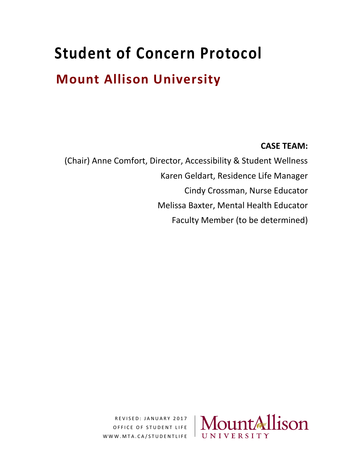# **Student of Concern Protocol**

# **Mount Allison University**

# **CASE TEAM:**

(Chair) Anne Comfort, Director, Accessibility & Student Wellness Karen Geldart, Residence Life Manager Cindy Crossman, Nurse Educator Melissa Baxter, Mental Health Educator Faculty Member (to be determined)

> R E V I S E D : JANUARY 2017 OFFICE OF STUDENT LIFE W W W . M T A . C A / S T U D E N T L I F E

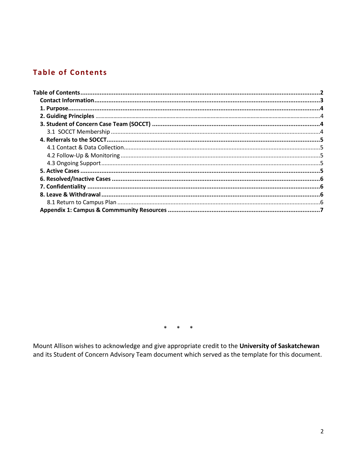# **Table of Contents**

 $*$  \*  $\ast$ 

Mount Allison wishes to acknowledge and give appropriate credit to the University of Saskatchewan and its Student of Concern Advisory Team document which served as the template for this document.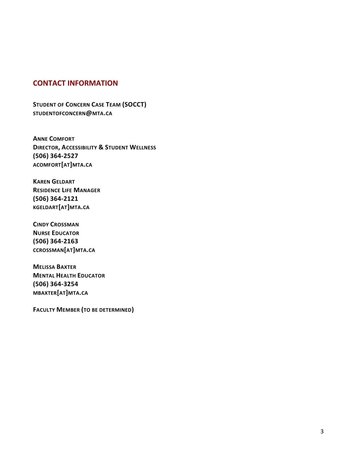#### **CONTACT INFORMATION**

**STUDENT OF CONCERN CASE TEAM (SOCCT) STUDENTOFCONCERN@MTA.CA**

**ANNE COMFORT DIRECTOR, ACCESSIBILITY & STUDENT WELLNESS (506) 364-2527 ACOMFORT[AT]MTA.CA**

**KAREN GELDART RESIDENCE LIFE MANAGER (506) 364-2121 KGELDART[AT]MTA.CA**

**CINDY CROSSMAN NURSE EDUCATOR (506) 364-2163 CCROSSMAN[AT]MTA.CA**

**MELISSA BAXTER MENTAL HEALTH EDUCATOR (506) 364-3254 MBAXTER[AT]MTA.CA**

**FACULTY MEMBER (TO BE DETERMINED)**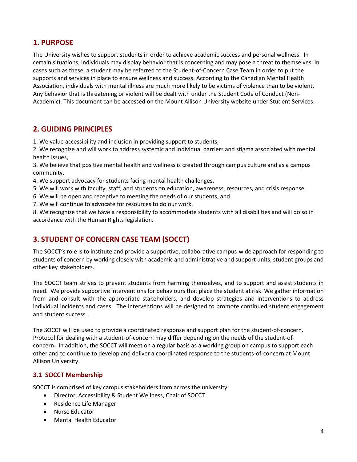# **1. PURPOSE**

The University wishes to support students in order to achieve academic success and personal wellness. In certain situations, individuals may display behavior that is concerning and may pose a threat to themselves. In cases such as these, a student may be referred to the Student-of-Concern Case Team in order to put the supports and services in place to ensure wellness and success. According to the Canadian Mental Health Association, individuals with mental illness are much more likely to be victims of violence than to be violent. Any behavior that is threatening or violent will be dealt with under the Student Code of Conduct (Non-Academic). This document can be accessed on the Mount Allison University website under Student Services.

### **2. GUIDING PRINCIPLES**

1. We value accessibility and inclusion in providing support to students,

2. We recognize and will work to address systemic and individual barriers and stigma associated with mental health issues,

3. We believe that positive mental health and wellness is created through campus culture and as a campus community,

- 4. We support advocacy for students facing mental health challenges,
- 5. We will work with faculty, staff, and students on education, awareness, resources, and crisis response,
- 6. We will be open and receptive to meeting the needs of our students, and
- 7. We will continue to advocate for resources to do our work.

8. We recognize that we have a responsibility to accommodate students with all disabilities and will do so in accordance with the Human Rights legislation.

# **3. STUDENT OF CONCERN CASE TEAM (SOCCT)**

The SOCCT's role is to institute and provide a supportive, collaborative campus-wide approach for responding to students of concern by working closely with academic and administrative and support units, student groups and other key stakeholders.

The SOCCT team strives to prevent students from harming themselves, and to support and assist students in need. We provide supportive interventions for behaviours that place the student at risk. We gather information from and consult with the appropriate stakeholders, and develop strategies and interventions to address individual incidents and cases. The interventions will be designed to promote continued student engagement and student success.

The SOCCT will be used to provide a coordinated response and support plan for the student-of-concern. Protocol for dealing with a student-of-concern may differ depending on the needs of the student-ofconcern. In addition, the SOCCT will meet on a regular basis as a working group on campus to support each other and to continue to develop and deliver a coordinated response to the students-of-concern at Mount Allison University.

#### **3.1 SOCCT Membership**

SOCCT is comprised of key campus stakeholders from across the university.

- Director, Accessibility & Student Wellness, Chair of SOCCT
- Residence Life Manager
- Nurse Educator
- Mental Health Educator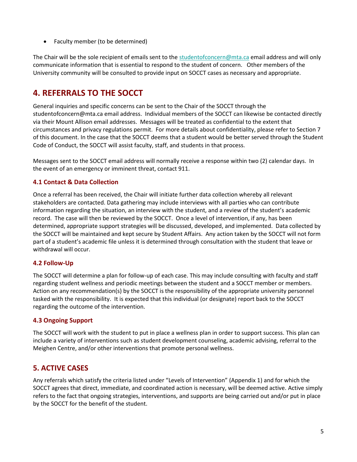Faculty member (to be determined)

The Chair will be the sole recipient of emails sent to the [studentofconcern@mta.ca](mailto:studentofconcern@mta.ca) email address and will only communicate information that is essential to respond to the student of concern. Other members of the University community will be consulted to provide input on SOCCT cases as necessary and appropriate.

# **4. REFERRALS TO THE SOCCT**

General inquiries and specific concerns can be sent to the Chair of the SOCCT through the studentofconcern@mta.ca email address. Individual members of the SOCCT can likewise be contacted directly via their Mount Allison email addresses. Messages will be treated as confidential to the extent that circumstances and privacy regulations permit. For more details about confidentiality, please refer to Section 7 of this document. In the case that the SOCCT deems that a student would be better served through the Student Code of Conduct, the SOCCT will assist faculty, staff, and students in that process.

Messages sent to the SOCCT email address will normally receive a response within two (2) calendar days. In the event of an emergency or imminent threat, contact 911.

#### **4.1 Contact & Data Collection**

Once a referral has been received, the Chair will initiate further data collection whereby all relevant stakeholders are contacted. Data gathering may include interviews with all parties who can contribute information regarding the situation, an interview with the student, and a review of the student's academic record. The case will then be reviewed by the SOCCT. Once a level of intervention, if any, has been determined, appropriate support strategies will be discussed, developed, and implemented. Data collected by the SOCCT will be maintained and kept secure by Student Affairs. Any action taken by the SOCCT will not form part of a student's academic file unless it is determined through consultation with the student that leave or withdrawal will occur.

#### **4.2 Follow-Up**

The SOCCT will determine a plan for follow-up of each case. This may include consulting with faculty and staff regarding student wellness and periodic meetings between the student and a SOCCT member or members. Action on any recommendation(s) by the SOCCT is the responsibility of the appropriate university personnel tasked with the responsibility. It is expected that this individual (or designate) report back to the SOCCT regarding the outcome of the intervention.

#### **4.3 Ongoing Support**

The SOCCT will work with the student to put in place a wellness plan in order to support success. This plan can include a variety of interventions such as student development counseling, academic advising, referral to the Meighen Centre, and/or other interventions that promote personal wellness.

# **5. ACTIVE CASES**

Any referrals which satisfy the criteria listed under "Levels of Intervention" (Appendix 1) and for which the SOCCT agrees that direct, immediate, and coordinated action is necessary, will be deemed active. Active simply refers to the fact that ongoing strategies, interventions, and supports are being carried out and/or put in place by the SOCCT for the benefit of the student.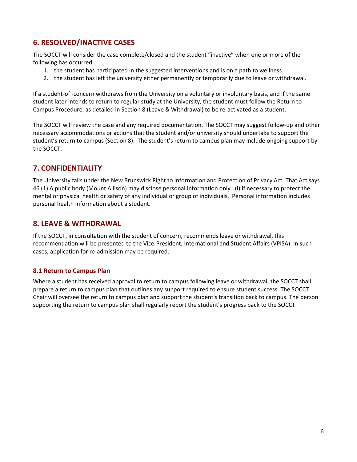# **6. RESOLVED/INACTIVE CASES**

The SOCCT will consider the case complete/closed and the student "inactive" when one or more of the following has occurred:

- 1. the student has participated in the suggested interventions and is on a path to wellness
- 2. the student has left the university either permanently or temporarily due to leave or withdrawal.

If a student-of -concern withdraws from the University on a voluntary or involuntary basis, and if the same student later intends to return to regular study at the University, the student must follow the Return to Campus Procedure, as detailed in Section 8 (Leave & Withdrawal) to be re-activated as a student.

The SOCCT will review the case and any required documentation. The SOCCT may suggest follow-up and other necessary accommodations or actions that the student and/or university should undertake to support the student's return to campus (Section 8). The student's return to campus plan may include ongoing support by the SOCCT.

#### **7. CONFIDENTIALITY**

The University falls under the New Brunswick Right to Information and Protection of Privacy Act. That Act says 46 (1) A public body (Mount Allison) may disclose personal information only…(i) if necessary to protect the mental or physical health or safety of any individual or group of individuals. Personal information includes personal health information about a student.

#### **8. LEAVE & WITHDRAWAL**

If the SOCCT, in consultation with the student of concern, recommends leave or withdrawal, this recommendation will be presented to the Vice-President, International and Student Affairs (VPISA). In such cases, application for re-admission may be required.

#### **8.1 Return to Campus Plan**

Where a student has received approval to return to campus following leave or withdrawal, the SOCCT shall prepare a return to campus plan that outlines any support required to ensure student success. The SOCCT Chair will oversee the return to campus plan and support the student's transition back to campus. The person supporting the return to campus plan shall regularly report the student's progress back to the SOCCT.